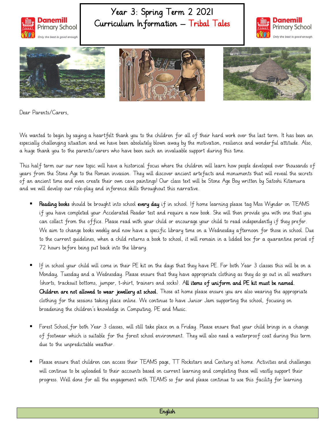

## Year 3: Spring Term 2 2021 Curriculum Information – Tribal Tales









Dear Parents/Carers,

We wanted to begin by saying a heartfelt thank you to the children for all of their hard work over the last term. It has been an especially challenging situation and we have been absolutely blown away by the motivation, resilience and wonderful attitude. Also, a huge thank you to the parents/carers who have been such an invaluable support during this time.

This half term our our new topic will have a historical focus where the children will learn how people developed over thousands of years from the Stone Age to the Roman invasion. They will discover ancient artefacts and monuments that will reveal the secrets of an ancient time and even create their own cave paintings! Our class text will be Stone Age Boy written by Satoshi Kitamura and we will develop our role-play and inference skills throughout this narrative.

- Reading books should be brought into school every day if in school. If home learning please tag Miss Wynder on TEAMS if you have completed your Accelerated Reader test and require a new book. She will then provide you with one that you can collect from the office. Please read with your child or encourage your child to read independently if they prefer. We aim to change books weekly and now have a specific library time on a Wednesday afternoon for those in school. Due to the current guidelines, when a child returns a book to school, it will remain in a lidded box for a quarantine period of 72 hours before being put back into the library.
- If in school your child will come in their PE kit on the days that they have PE. For both Year 3 classes this will be on a Monday, Tuesday and a Wednesday. Please ensure that they have appropriate clothing as they do go out in all weathers (shorts, tracksuit bottoms, jumper, t-shirt, trainers and socks). All items of uniform and PE kit must be named. Children are not allowed to wear jewellery at school. Those at home please ensure you are also wearing the appropriate clothing for the sessions taking place online. We continue to have Junior Jam supporting the school, focusing on broadening the children's knowledge in Computing, PE and Music.
- Forest School,for both Year 3 classes, will still take place on a Friday. Please ensure that your child brings in a change of footwear which is suitable for the forest school environment. They will also need a waterproof coat during this term due to the unpredictable weather.
- Please ensure that children can access their TEAMS page, TT Rockstars and Century at home. Activities and challenges will continue to be uploaded to their accounts based on current learning and completing these will vastly support their progress. Well done for all the engagement with TEAMS so far and please continue to use this facility for learning.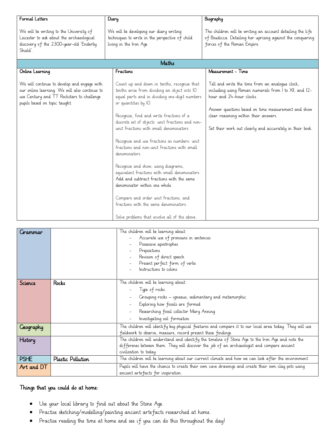| Formal Letters                                                                                                                                                             | Diary                                                                                                                                                                                                                                                                                                                                                                                                                                                                                                                                                                                                                                                                                                                                   | Biography                                                                                                                                                                                                                                                                                        |  |
|----------------------------------------------------------------------------------------------------------------------------------------------------------------------------|-----------------------------------------------------------------------------------------------------------------------------------------------------------------------------------------------------------------------------------------------------------------------------------------------------------------------------------------------------------------------------------------------------------------------------------------------------------------------------------------------------------------------------------------------------------------------------------------------------------------------------------------------------------------------------------------------------------------------------------------|--------------------------------------------------------------------------------------------------------------------------------------------------------------------------------------------------------------------------------------------------------------------------------------------------|--|
| We will be writing to the University of<br>Leicester to ask about the archaeological<br>discovery of the 2300-year-old 'Enderby<br>Shield'                                 | We will be developing our diary writing<br>techniques to write in the perspective of child<br>living in the Iron Age.                                                                                                                                                                                                                                                                                                                                                                                                                                                                                                                                                                                                                   | The children will be writing an account detailing the life<br>of Boudicca. Detailing her uprising against the conquering<br>forces of the Roman Empire.                                                                                                                                          |  |
| Maths                                                                                                                                                                      |                                                                                                                                                                                                                                                                                                                                                                                                                                                                                                                                                                                                                                                                                                                                         |                                                                                                                                                                                                                                                                                                  |  |
| Online Learning                                                                                                                                                            | Fractions                                                                                                                                                                                                                                                                                                                                                                                                                                                                                                                                                                                                                                                                                                                               | Measurement - Time                                                                                                                                                                                                                                                                               |  |
| We will continue to develop and engage with<br>our online learning. We will also continue to<br>use Century and TT Rockstars to challenge<br>pupils based on topic taught. | Count up and down in tenths; recognise that<br>tenths arise from dividing an object into IO<br>equal parts and in dividing one-digit numbers<br>or quantities by IO.<br>Recognise, find and write fractions of a<br>discrete set of objects: unit fractions and non-<br>unit fractions with small denominators.<br>Recognise and use fractions as numbers: unit<br>fractions and non-unit fractions with small<br>denominators.<br>Recognise and show, using diagrams,<br>equivalent fractions with small denominators.<br>Add and subtract fractions with the same<br>denominator within one whole.<br>Compare and order unit fractions, and<br>fractions with the same denominators.<br>Solve problems that involve all of the above. | Tell and write the time from an analogue clock,<br>including using Roman numerals from I to XII, and I2-<br>hour and 24-hour clocks.<br>Answer questions based on time measurement and show<br>clear reasoning within their answers.<br>Set their work out clearly and accurately in their book. |  |

| Cirammar    |                   | The children will be learning about:<br>Accurate use of pronouns in sentences<br>Possessive apostrophes<br>Prepositions<br>Revision of direct speech |  |
|-------------|-------------------|------------------------------------------------------------------------------------------------------------------------------------------------------|--|
|             |                   | Present perfect form of verbs<br>Instructions to colons                                                                                              |  |
|             |                   |                                                                                                                                                      |  |
| Science     | Rocks             | The children will be learning about:                                                                                                                 |  |
|             |                   | Type of rocks.                                                                                                                                       |  |
|             |                   | Grouping rocks – igneaus, sedimentary and metamorphic                                                                                                |  |
|             |                   | Exploring how fossils are formed                                                                                                                     |  |
|             |                   | Researching fossil collector Mary Anning                                                                                                             |  |
|             |                   | Investigating soil formation                                                                                                                         |  |
| Geography   |                   | The children will identify key physical features and compare it to our local area today. They will use                                               |  |
|             |                   | fieldwork to observe, measure, record present these findings.                                                                                        |  |
| History     |                   | The children will understand and identify the timeline of Stone Age to the Iron Age and note the                                                     |  |
|             |                   | differenes between them. They will discover the job of an archaeologist and compare ancient                                                          |  |
|             |                   | civilization to today.                                                                                                                               |  |
| <b>PSHE</b> | Plastic Pollution | The children will be learning about our current climate and how we can look after the environment.                                                   |  |
| Art and DT  |                   | Pupils will have the chance to create their own cave drawings and create their own clay pots using<br>ancient artefacts for inspiration.             |  |

## Things that you could do at home:

- Use your local library to find out about the Stone Age.
- Practise sketching/modelling/painting ancient artefacts researched at home.
- Practise reading the time at home and see if you can do this throughout the day!